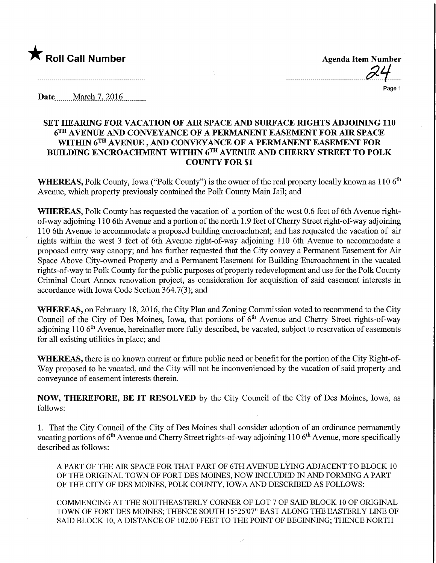

Page 1

Date ........March 7,.2016.

## SET HEAMNG FOR VACATION OF AIR SPACE AND SURFACE MGHTS ADJOINING 110 6™ AVENUE AND CONVEYANCE OF A PERMANENT EASEMENT FOR AIR SPACE WITHIN 6TH AVENUE, AND CONVEYANCE OF A PERMANENT EASEMENT FOR BUILDING ENCROACHMENT WITHIN 6™ AVENUE AND CHERRY STREET TO POLK COUNTY FOR \$1

WHEREAS, Polk County, Iowa ("Polk County") is the owner of the real property locally known as 110 6<sup>th</sup> Avenue, which property previously contained the Polk County Main Jail; and

WHEREAS, Polk County has requested the vacation of a portion of the west 0.6 feet of 6th Avenue rightof-way adjoining 110 6th Avenue and a portion of the north 1.9 feet of Cherry Street right-of-way adjoining 110 6th Avenue to accommodate a proposed building encroachment; and has requested the vacation of air rights within the west 3 feet of 6th Avenue right-of-way adjoining 110 6th Avenue to accommodate a proposed entry way canopy; and has further requested that the City convey a Permanent Easement for Air Space Above City-owned Property and a Permanent Easement for Building Encroachment in the vacated rights-of-way to Polk County for the public purposes of property redevelopment and use for the Polk County Criminal Court Annex renovation project, as consideration for acquisition of said easement interests in accordance with Iowa Code Section 364.7(3); and

WHEREAS, on February 18, 2016, the City Plan and Zoning Commission voted to recommend to the City Council of the City of Des Moines, Iowa, that portions of 6<sup>th</sup> Avenue and Cherry Street rights-of-way adjoining 110 6<sup>th</sup> Avenue, hereinafter more fully described, be vacated, subject to reservation of easements for all existing utilities in place; and

WHEREAS, there is no known current or future public need or benefit for the portion of the City Right-of-Way proposed to be vacated, and the City will not be inconvenienced by the vacation of said property and conveyance of easement interests therein.

NOW, THEREFORE, BE IT RESOLVED by the City Council of the City of Des Moines, Iowa, as follows:

1. That the City Council of the City of Des Moines shall consider adoption of an ordinance permanently vacating portions of  $6<sup>th</sup>$  Avenue and Cherry Street rights-of-way adjoining 110  $6<sup>th</sup>$  Avenue, more specifically described as follows:

A PART OF THE AIR SPACE FOR THAT PART OF 6TH AVENUE LYING ADJACENT TO BLOCK 10 OF THE ORIGINAL TOWN OF FORT DES MOINES, NOW INCLUDED IN AND FORMING A PART OF THE CITY OF DES MOINES, POLK COUNTY, IOWA AND DESCRIBED AS FOLLOWS:

COMMENCING AT THE SOUTHEASTERLY CORNER OF LOT 7 OF SAID BLOCK 10 OF ORIGINAL TOWN OF FORT DES MOINES; THENCE SOUTH 15°25'07" EAST ALONG THE EASTERLY LINE OF SAID BLOCK 10, A DISTANCE OF 102.00 FEET TO THE POINT OF BEGINNING; THENCE NORTH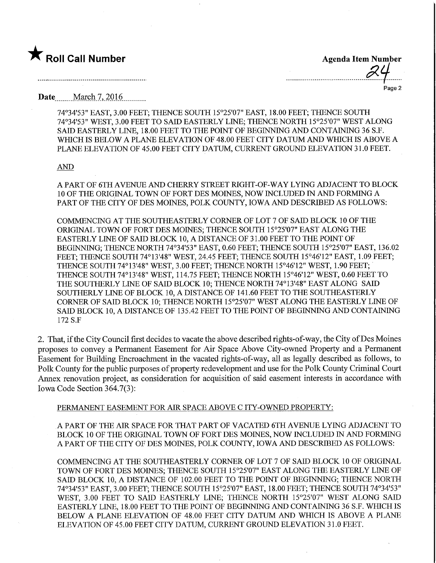

Page 2

**Date** March 7, 2016

74°34'53" EAST, 3.00 FEET; THENCE SOUTH 15°25'07" EAST, 18.00 FEET; THENCE SOUTH 74°34'53" WEST, 3.00 FEET TO SATO EASTERLY LINE; THENCE NORTH 15°25'07" WEST ALONG SAID EASTERLY LINE, 18.00 FEET TO THE POINT OF BEGINNING AND CONTAINING 36 S.F. WHICH IS BELOW A PLANE ELEVATION OF 48.00 FEET CITY DATUM AND WHICH IS ABOVE A PLANE ELEVATION OF 45.00 FEET CITY DATUM, CURRENT GROUND ELEVATION 31.0 FEET.

#### AND

A PART OF 6TH AVENUE AND CHERRY STREET RIGHT-OF-WAY LYING ADJACENT TO BLOCK 10 OF THE ORIGINAL TOWN OF FORT DES MOINES, NOW INCLUDED IN AND FORMING A PART OF THE CITY OF DES MOINES, POLK COUNTY, IOWA AND DESCRIBED AS FOLLOWS:

COMMENCING AT THE SOUTHEASTERLY CORNER OF LOT 7 OF SAID BLOCK 10 OF THE ORIGINAL TOWN OF FORT DES MOINES; THENCE SOUTH 15°25'07" EAST ALONG THE EASTERLY LINE OF SAID BLOCK 10, A DISTANCE OF 31.00 FEET TO THE POINT OF BEGINNING; THENCE NORTH 74°34'53" EAST, 0.60 FEET; THENCE SOUTH 15°25'07" EAST, 136.02 FEET; THENCE SOUTH 74°13'48" WEST, 24.45 FEET; THENCE SOUTH 15°46'12" EAST, 1.09 FEET; THENCE SOUTH 74°13'48" WEST, 3.00 FEET; THENCE NORTH 15°46'12" WEST, 1.90 FEET; THENCE SOUTH 74°13'48" WEST, 1 14.75 FEET; THENCE NORTH 15°46'12" WEST, 0.60 FEET TO THE SOUTHERLY LINE OF SAID BLOCK 10; THENCE NORTH 74°13'48" EAST ALONG SAID SOUTHERLY LINE OF BLOCK 10, A DISTANCE OF 141.60 FEET TO THE SOUTHEASTERLY CORNER OF SAID BLOCK 10; THENCE NORTH 15°25'07" WEST ALONG THE EASTERLY LINE OF SAID BLOCK 10, A DISTANCE OF 135.42 FEET TO THE POINT OF BEGINNING AND CONTAINING 172 S.F

2. That, if the City Council first decides to vacate the above described rights-of-way, the City of Des Moines proposes to convey a Permanent Easement for Air Space Above City-owned Property and a Permanent Easement for Building Encroachment in the vacated rights-of-way, all as legally described as follows, to Polk County for the public purposes of property redevelopment and use for the Polk County Criminal Court Annex renovation project, as consideration for acquisition of said easement interests in accordance with Iowa Code Section 364.7(3):

## PERMANENT EASEMENT FOR AIR SPACE ABOVE C ITY-OWNED PROPERTY:

A PART OF THE AIR SPACE FOR THAT PART OF VACATED 6TH AVENUE LYING ADJACENT TO BLOCK 10 OF THE ORIGINAL TOWN OF FORT DES MOINES, NOW INCLUDED IN AND FORMING A PART OF THE CITY OF DES MOINES, POLK COUNTY, IOWA AND DESCRIBED AS FOLLOWS:

COMMENCING AT THE SOUTHEASTERLY CORNER OF LOT 7 OF SAID BLOCK 10 OF ORIGINAL TOWN OF FORT DES MOINES; THENCE SOUTH 15°25'07" EAST ALONG THE EASTERLY LINE OF SAID BLOCK 10, A DISTANCE OF 102.00 FEET TO THE POINT OF BEGINNING; THENCE NORTH 74°34'53" EAST, 3.00 FEET; THENCE SOUTH 15°25'07" EAST, 18.00 FEET; THENCE SOUTH 74°34'53" WEST, 3.00 FEET TO SAID EASTERLY LINE; THENCE NORTH 15°25'07" WEST ALONG SAID EASTERLY LINE, 18.00 FEET TO THE POINT OF BEGINNING AND CONTAINING 36 S.F. WHICH IS BELOW A PLANE ELEVATION OF 48.00 FEET CITY DATUM AND WHICH IS ABOVE A PLANE ELEVATION OF 45.00 FEET CITY DATUM, CURRENT GROUND ELEVATION 3 1.0 FEET.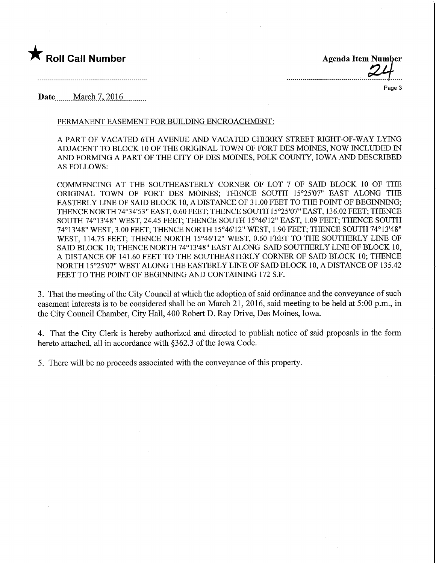

**Agenda Item Number** 

Page 3

**Date** March 7, 2016

### PERMANENT EASEMENT FOR BUILDING ENCROACHMENT:

A PART OF VACATED 6TH AVENUE AND VACATED CHERRY STREET RIGHT-OF-WAY LYING ADJACENT TO BLOCK 10 OF THE ORIGINAL TOWN OF FORT DES MOINES, NOW INCLUDED IN AND FORMING A PART OF THE CITY OF DES MOINES, POLK COUNTY, IOWA AND DESCRIBED AS FOLLOWS:

COMMENCING AT THE SOUTHEASTERLY CORNER OF LOT 7 OF SAID BLOCK 10 OF THE ORIGINAL TOWN OF FORT DES MOINES; THENCE SOUTH 15°25'07" EAST ALONG THE EASTERLY LINE OF SAID BLOCK 10, A DISTANCE OF 31.00 FEET TO THE POINT OF BEGINNING; THENCE NORTH 74°34'53" EAST, 0.60 FEET; THENCE SOUTH 1 5°25'07" EAST, 136.02 FEET; THENCE SOUTH 74°13'48" WEST, 24.45 FEET; THENCE SOUTH 15°46'12" EAST, 1.09 FEET; THENCE SOUTH 74°13'48" WEST, 3.00 FEET; THENCE NORTH 15°46'12" WEST, 1.90 FEET; THENCE SOUTH 74°13'48" WEST, 114.75 FEET; THENCE NORTH 15°46'12" WEST, 0.60 FEET TO THE SOUTHERLY LINE OF SAID BLOCK 10; THENCE NORTH 74°13'48" EAST ALONG SAID SOUTHERLY LINE OF BLOCK 10, A DISTANCE OF 141.60 FEET TO THE SOUTHEASTERLY CORNER OF SAID BLOCK 10; THENCE NORTH 15°25'07" WEST ALONG THE EASTERLY LINE OF SAID BLOCK 10, A DISTANCE OF 135.42 FEET TO THE POINT OF BEGINNING AND CONTAINING 172 S.F.

3. That the meeting of the City Council at which the adoption of said ordinance and the conveyance of such easement interests is to be considered shall be on March 21, 2016, said meeting to be held at 5:00 p.m., in the City Council Chamber, City Hall, 400 Robert D. Ray Drive, Des Moines, Iowa.

4. That the City Clerk is hereby authorized and directed to publish notice of said proposals in the form hereto attached, all in accordance with §362.3 of the Iowa Code.

5. There will be no proceeds associated with the conveyance of this property.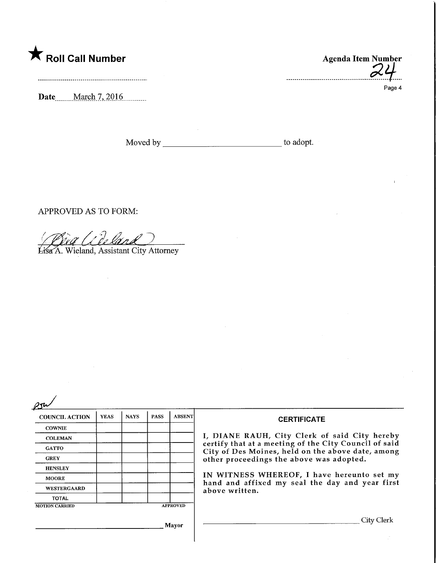# $\bigstar$  Roll Call Number

Date.........March 7, 2016...........

Agenda Item Number

Page 4

Moved by to adopt.

APPROVED AS TO FORM:

'i Do land

Lisa A. Wieland, Assistant City Attorney

| ハル<br>o |
|---------|
|         |

| $\sim$                |             |             |                                                                                                            |                 |                                                                                               |  |
|-----------------------|-------------|-------------|------------------------------------------------------------------------------------------------------------|-----------------|-----------------------------------------------------------------------------------------------|--|
| <b>COUNCIL ACTION</b> | <b>YEAS</b> | <b>NAYS</b> | <b>PASS</b>                                                                                                | <b>ABSENT</b>   | <b>CERTIFICATE</b>                                                                            |  |
| <b>COWNIE</b>         |             |             |                                                                                                            |                 |                                                                                               |  |
| <b>COLEMAN</b>        |             |             |                                                                                                            |                 | I, DIANE RAUH, City Clerk of said City hereby                                                 |  |
| <b>GATTO</b>          |             |             | certify that at a meeting of the City Council of said<br>City of Des Moines, held on the above date, among |                 |                                                                                               |  |
| <b>GREY</b>           |             |             |                                                                                                            |                 | other proceedings the above was adopted.                                                      |  |
| <b>HENSLEY</b>        |             |             |                                                                                                            |                 |                                                                                               |  |
| <b>MOORE</b>          |             |             |                                                                                                            |                 | IN WITNESS WHEREOF, I have hereunto set my<br>hand and affixed my seal the day and year first |  |
| WESTERGAARD           |             |             |                                                                                                            |                 | above written.                                                                                |  |
| <b>TOTAL</b>          |             |             |                                                                                                            |                 |                                                                                               |  |
| <b>MOTION CARRIED</b> |             |             |                                                                                                            | <b>APPROVED</b> |                                                                                               |  |
|                       |             |             |                                                                                                            |                 |                                                                                               |  |
|                       |             | Mayor       |                                                                                                            |                 |                                                                                               |  |